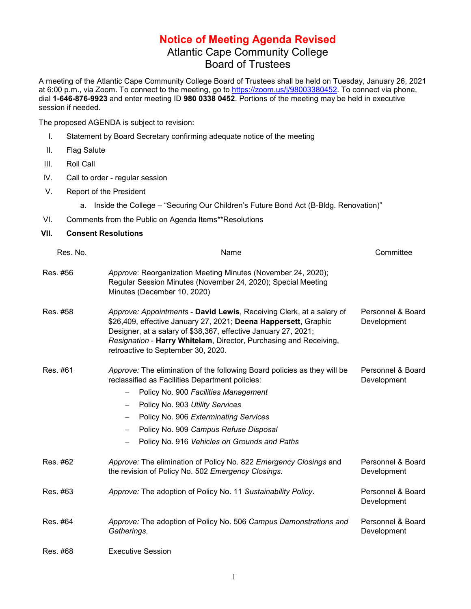## **Notice of Meeting Agenda Revised** Atlantic Cape Community College Board of Trustees

A meeting of the Atlantic Cape Community College Board of Trustees shall be held on Tuesday, January 26, 2021 at 6:00 p.m., via Zoom. To connect to the meeting, go to [https://zoom.us/j/98003380452.](https://zoom.us/j/98003380452) To connect via phone, dial **1-646-876-9923** and enter meeting ID **980 0338 0452**. Portions of the meeting may be held in executive session if needed.

The proposed AGENDA is subject to revision:

- I. Statement by Board Secretary confirming adequate notice of the meeting
- II. Flag Salute
- III. Roll Call
- IV. Call to order regular session
- V. Report of the President

a. Inside the College – "Securing Our Children's Future Bond Act (B-Bldg. Renovation)"

VI. Comments from the Public on Agenda Items\*\*Resolutions

## **VII. Consent Resolutions**

| Res. No. | Name                                                                                                                                                                                                                                                                                                                                     | Committee                        |
|----------|------------------------------------------------------------------------------------------------------------------------------------------------------------------------------------------------------------------------------------------------------------------------------------------------------------------------------------------|----------------------------------|
| Res. #56 | Approve: Reorganization Meeting Minutes (November 24, 2020);<br>Regular Session Minutes (November 24, 2020); Special Meeting<br>Minutes (December 10, 2020)                                                                                                                                                                              |                                  |
| Res. #58 | Approve: Appointments - David Lewis, Receiving Clerk, at a salary of<br>\$26,409, effective January 27, 2021; Deena Happersett, Graphic<br>Designer, at a salary of \$38,367, effective January 27, 2021;<br>Resignation - Harry Whitelam, Director, Purchasing and Receiving,<br>retroactive to September 30, 2020.                     | Personnel & Board<br>Development |
| Res. #61 | Approve: The elimination of the following Board policies as they will be<br>reclassified as Facilities Department policies:<br>Policy No. 900 Facilities Management<br>Policy No. 903 Utility Services<br>Policy No. 906 Exterminating Services<br>Policy No. 909 Campus Refuse Disposal<br>Policy No. 916 Vehicles on Grounds and Paths | Personnel & Board<br>Development |
| Res. #62 | Approve: The elimination of Policy No. 822 Emergency Closings and<br>the revision of Policy No. 502 Emergency Closings.                                                                                                                                                                                                                  | Personnel & Board<br>Development |
| Res. #63 | Approve: The adoption of Policy No. 11 Sustainability Policy.                                                                                                                                                                                                                                                                            | Personnel & Board<br>Development |
| Res. #64 | Approve: The adoption of Policy No. 506 Campus Demonstrations and<br>Gatherings.                                                                                                                                                                                                                                                         | Personnel & Board<br>Development |
| Res. #68 | <b>Executive Session</b>                                                                                                                                                                                                                                                                                                                 |                                  |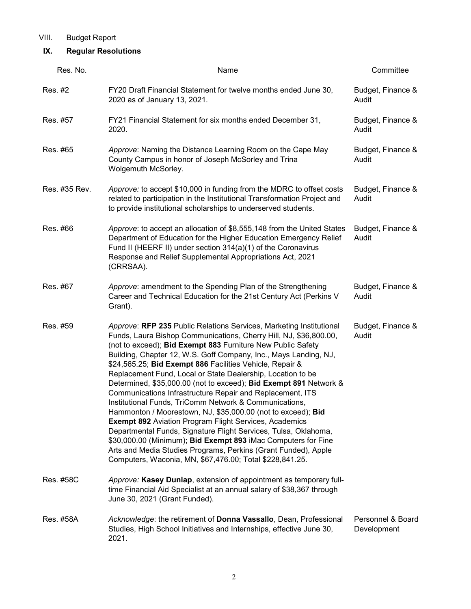## VIII. Budget Report

## **IX. Regular Resolutions**

| Res. No.      | Name                                                                                                                                                                                                                                                                                                                                                                                                                                                                                                                                                                                                                                                                                                                                                                                                                                                                                                                                                                                                  | Committee                        |
|---------------|-------------------------------------------------------------------------------------------------------------------------------------------------------------------------------------------------------------------------------------------------------------------------------------------------------------------------------------------------------------------------------------------------------------------------------------------------------------------------------------------------------------------------------------------------------------------------------------------------------------------------------------------------------------------------------------------------------------------------------------------------------------------------------------------------------------------------------------------------------------------------------------------------------------------------------------------------------------------------------------------------------|----------------------------------|
| Res. #2       | FY20 Draft Financial Statement for twelve months ended June 30,<br>2020 as of January 13, 2021.                                                                                                                                                                                                                                                                                                                                                                                                                                                                                                                                                                                                                                                                                                                                                                                                                                                                                                       | Budget, Finance &<br>Audit       |
| Res. #57      | FY21 Financial Statement for six months ended December 31,<br>2020.                                                                                                                                                                                                                                                                                                                                                                                                                                                                                                                                                                                                                                                                                                                                                                                                                                                                                                                                   | Budget, Finance &<br>Audit       |
| Res. #65      | Approve: Naming the Distance Learning Room on the Cape May<br>County Campus in honor of Joseph McSorley and Trina<br>Wolgemuth McSorley.                                                                                                                                                                                                                                                                                                                                                                                                                                                                                                                                                                                                                                                                                                                                                                                                                                                              | Budget, Finance &<br>Audit       |
| Res. #35 Rev. | Approve: to accept \$10,000 in funding from the MDRC to offset costs<br>related to participation in the Institutional Transformation Project and<br>to provide institutional scholarships to underserved students.                                                                                                                                                                                                                                                                                                                                                                                                                                                                                                                                                                                                                                                                                                                                                                                    | Budget, Finance &<br>Audit       |
| Res. #66      | Approve: to accept an allocation of \$8,555,148 from the United States<br>Department of Education for the Higher Education Emergency Relief<br>Fund II (HEERF II) under section 314(a)(1) of the Coronavirus<br>Response and Relief Supplemental Appropriations Act, 2021<br>(CRRSAA).                                                                                                                                                                                                                                                                                                                                                                                                                                                                                                                                                                                                                                                                                                                | Budget, Finance &<br>Audit       |
| Res. #67      | Approve: amendment to the Spending Plan of the Strengthening<br>Career and Technical Education for the 21st Century Act (Perkins V<br>Grant).                                                                                                                                                                                                                                                                                                                                                                                                                                                                                                                                                                                                                                                                                                                                                                                                                                                         | Budget, Finance &<br>Audit       |
| Res. #59      | Approve: RFP 235 Public Relations Services, Marketing Institutional<br>Funds, Laura Bishop Communications, Cherry Hill, NJ, \$36,800.00,<br>(not to exceed); Bid Exempt 883 Furniture New Public Safety<br>Building, Chapter 12, W.S. Goff Company, Inc., Mays Landing, NJ,<br>\$24,565.25; Bid Exempt 886 Facilities Vehicle, Repair &<br>Replacement Fund, Local or State Dealership, Location to be<br>Determined, \$35,000.00 (not to exceed); Bid Exempt 891 Network &<br>Communications Infrastructure Repair and Replacement, ITS<br>Institutional Funds, TriComm Network & Communications,<br>Hammonton / Moorestown, NJ, \$35,000.00 (not to exceed); Bid<br><b>Exempt 892 Aviation Program Flight Services, Academics</b><br>Departmental Funds, Signature Flight Services, Tulsa, Oklahoma,<br>\$30,000.00 (Minimum); Bid Exempt 893 iMac Computers for Fine<br>Arts and Media Studies Programs, Perkins (Grant Funded), Apple<br>Computers, Waconia, MN, \$67,476.00; Total \$228,841.25. | Budget, Finance &<br>Audit       |
| Res. #58C     | Approve: Kasey Dunlap, extension of appointment as temporary full-<br>time Financial Aid Specialist at an annual salary of \$38,367 through<br>June 30, 2021 (Grant Funded).                                                                                                                                                                                                                                                                                                                                                                                                                                                                                                                                                                                                                                                                                                                                                                                                                          |                                  |
| Res. #58A     | Acknowledge: the retirement of Donna Vassallo, Dean, Professional<br>Studies, High School Initiatives and Internships, effective June 30,<br>2021.                                                                                                                                                                                                                                                                                                                                                                                                                                                                                                                                                                                                                                                                                                                                                                                                                                                    | Personnel & Board<br>Development |